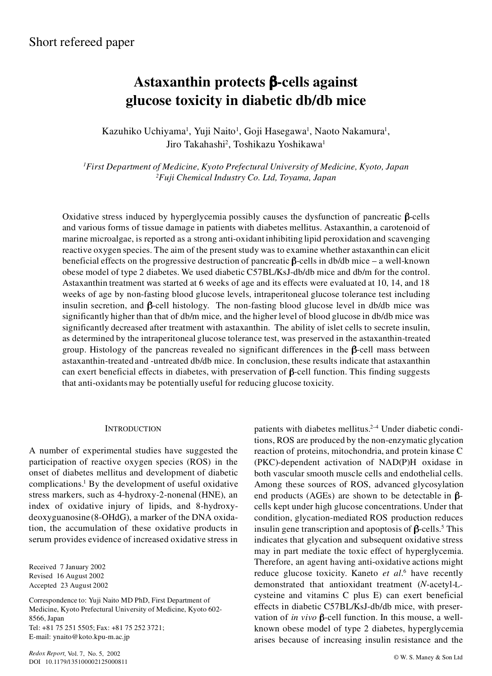# **Astaxanthin protects**  $\beta$ **-cells against glucose toxicity in diabetic db/db mice**

Kazuhiko Uchiyama<sup>1</sup>, Yuji Naito<sup>1</sup>, Goji Hasegawa<sup>1</sup>, Naoto Nakamura<sup>1</sup>, Jiro Takahashi<sup>2</sup>, Toshikazu Yoshikawa<sup>1</sup>

*<sup>1</sup>First Department of Medicine, Kyoto Prefectural University of Medicine, Kyoto, Japan <sup>2</sup>Fuji Chemical Industry Co. Ltd, Toyama, Japan*

Oxidative stress induced by hyperglycemia possibly causes the dysfunction of pancreatic  $\beta$ -cells and various forms of tissue damage in patients with diabetes mellitus. Astaxanthin, a carotenoid of marine microalgae, is reported as a strong anti-oxidant inhibiting lipid peroxidation and scavenging reactive oxygen species. The aim of the present study was to examine whether astaxanthin can elicit beneficial effects on the progressive destruction of pancreatic  $\beta$ -cells in db/db mice – a well-known obese model of type 2 diabetes. We used diabetic C57BL/KsJ-db/db mice and db/m for the control. Astaxanthin treatment was started at 6 weeks of age and its effects were evaluated at 10, 14, and 18 weeks of age by non-fasting blood glucose levels, intraperitoneal glucose tolerance test including insulin secretion, and  $\beta$ -cell histology. The non-fasting blood glucose level in db/db mice was significantly higher than that of db/m mice, and the higher level of blood glucose in db/db mice was significantly decreased after treatment with astaxanthin. The ability of islet cells to secrete insulin, as determined by the intraperitoneal glucose tolerance test, was preserved in the astaxanthin-treated group. Histology of the pancreas revealed no significant differences in the  $\beta$ -cell mass between astaxanthin-treated and -untreated db/db mice. In conclusion, these results indicate that astaxanthin can exert beneficial effects in diabetes, with preservation of  $\beta$ -cell function. This finding suggests that anti-oxidants may be potentially useful for reducing glucose toxicity.

## **INTRODUCTION**

A number of experimental studies have suggested the participation of reactive oxygen species (ROS) in the onset of diabetes mellitus and development of diabetic complications.<sup>1</sup> By the development of useful oxidative stress markers, such as 4-hydroxy-2-nonenal (HNE), an index of oxidative injury of lipids, and 8-hydroxydeoxyguanosine (8-OHdG), a marker of the DNA oxidation, the accumulation of these oxidative products in serum provides evidence of increased oxidative stress in

Received 7 January 2002 Revised 16 August 2002 Accepted 23 August 2002

Correspondence to: Yuji Naito MD PhD, First Department of Medicine, Kyoto Prefectural University of Medicine, Kyoto 602- 8566, Japan Tel: +81 75 251 5505; Fax: +81 75 252 3721; E-mail: ynaito@koto.kpu-m.ac.jp

© W. S. Maney & Son Ltd *Redox Report*, Vol. 7, No. 5, <sup>2002</sup> DOI 10.1179/135100002125000811

patients with diabetes mellitus.<sup>2-4</sup> Under diabetic conditions, ROS are produced by the non-enzymatic glycation reaction of proteins, mitochondria, and protein kinase C (PKC)-dependent activation of NAD(P)H oxidase in both vascular smooth muscle cells and endothelial cells. Among these sources of ROS, advanced glycosylation end products (AGEs) are shown to be detectable in  $\beta$ cells kept under high glucose concentrations. Under that condition, glycation-mediated ROS production reduces insulin gene transcription and apoptosis of  $\beta$ -cells.<sup>5</sup> This indicates that glycation and subsequent oxidative stress may in part mediate the toxic effect of hyperglycemia. Therefore, an agent having anti-oxidative actions might reduce glucose toxicity. Kaneto *et al*.<sup>6</sup> have recently demonstrated that antioxidant treatment (*N*-acetyl-Lcysteine and vitamins C plus E) can exert beneficial effects in diabetic C57BL/KsJ-db/db mice, with preservation of *in vivo*  $\beta$ -cell function. In this mouse, a wellknown obese model of type 2 diabetes, hyperglycemia arises because of increasing insulin resistance and the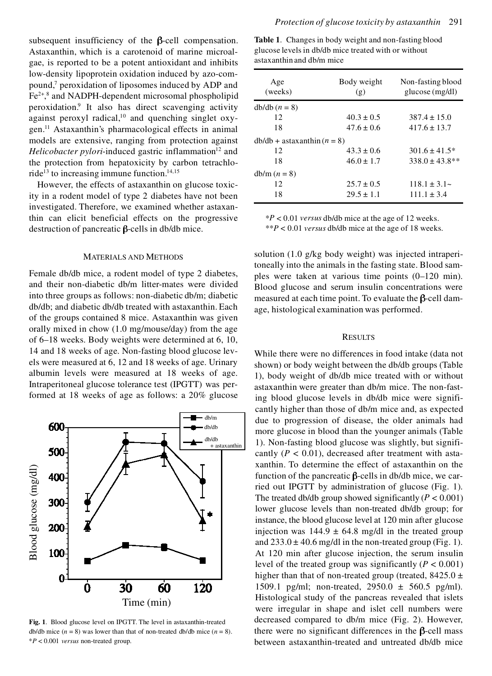subsequent insufficiency of the  $\beta$ -cell compensation. Astaxanthin, which is a carotenoid of marine microalgae, is reported to be a potent antioxidant and inhibits low-density lipoprotein oxidation induced by azo-compound,<sup>7</sup> peroxidation of liposomes induced by ADP and Fe<sup>2+</sup>,<sup>8</sup> and NADPH-dependent microsomal phospholipid peroxidation.<sup>9</sup> It also has direct scavenging activity against peroxyl radical, $10$  and quenching singlet oxygen.<sup>11</sup> Astaxanthin's pharmacological effects in animal models are extensive, ranging from protection against *Helicobacter pylori*-induced gastric inflammation<sup>12</sup> and the protection from hepatoxicity by carbon tetrachloride<sup>13</sup> to increasing immune function.<sup>14,15</sup>

However, the effects of astaxanthin on glucose toxicity in a rodent model of type 2 diabetes have not been investigated. Therefore, we examined whether astaxanthin can elicit beneficial effects on the progressive destruction of pancreatic  $\beta$ -cells in db/db mice.

### MATERIALS AND METHODS

Female db/db mice, a rodent model of type 2 diabetes, and their non-diabetic db/m litter-mates were divided into three groups as follows: non-diabetic db/m; diabetic db/db; and diabetic db/db treated with astaxanthin. Each of the groups contained 8 mice. Astaxanthin was given orally mixed in chow (1.0 mg/mouse/day) from the age of 6–18 weeks. Body weights were determined at 6, 10, 14 and 18 weeks of age. Non-fasting blood glucose levels were measured at 6, 12 and 18 weeks of age. Urinary albumin levels were measured at 18 weeks of age. Intraperitoneal glucose tolerance test (IPGTT) was performed at 18 weeks of age as follows: a 20% glucose



**Fig. 1**. Blood glucose level on IPGTT. The level in astaxanthin-treated db/db mice  $(n = 8)$  was lower than that of non-treated db/db mice  $(n = 8)$ . \**P* < 0.001 *versus* non-treated group.

**Table 1**. Changes in body weight and non-fasting blood glucose levels in db/db mice treated with or without astaxanthin and db/m mice

| Age<br>(weeks)               | Body weight<br>(g) | Non-fasting blood<br>glucose (mg/dl) |
|------------------------------|--------------------|--------------------------------------|
| $db/db (n = 8)$              |                    |                                      |
| 12                           | $40.3 \pm 0.5$     | $387.4 \pm 15.0$                     |
| 18                           | $47.6 \pm 0.6$     | $417.6 \pm 13.7$                     |
| $db/db + astaranhin (n = 8)$ |                    |                                      |
| 12                           | $43.3 \pm 0.6$     | $301.6 \pm 41.5*$                    |
| 18                           | $46.0 \pm 1.7$     | $338.0 \pm 43.8$ **                  |
| $db/m (n = 8)$               |                    |                                      |
| 12                           | $25.7 \pm 0.5$     | $118.1 \pm 3.1$ ~                    |
| 18                           | $29.5 \pm 1.1$     | $111.1 \pm 3.4$                      |

\**P* < 0.01 *versus* db/db mice at the age of 12 weeks. \*\**P* < 0.01 *versus* db/db mice at the age of 18 weeks.

solution (1.0 g/kg body weight) was injected intraperitoneally into the animals in the fasting state. Blood samples were taken at various time points (0–120 min). Blood glucose and serum insulin concentrations were measured at each time point. To evaluate the  $\beta$ -cell damage, histological examination was performed.

# **RESULTS**

While there were no differences in food intake (data not shown) or body weight between the db/db groups (Table 1), body weight of db/db mice treated with or without astaxanthin were greater than db/m mice. The non-fasting blood glucose levels in db/db mice were significantly higher than those of db/m mice and, as expected due to progression of disease, the older animals had more glucose in blood than the younger animals (Table 1). Non-fasting blood glucose was slightly, but significantly  $(P < 0.01)$ , decreased after treatment with astaxanthin. To determine the effect of astaxanthin on the function of the pancreatic  $\beta$ -cells in db/db mice, we carried out IPGTT by administration of glucose (Fig. 1). The treated db/db group showed significantly  $(P < 0.001)$ lower glucose levels than non-treated db/db group; for instance, the blood glucose level at 120 min after glucose injection was  $144.9 \pm 64.8$  mg/dl in the treated group and  $233.0 \pm 40.6$  mg/dl in the non-treated group (Fig. 1). At 120 min after glucose injection, the serum insulin level of the treated group was significantly  $(P < 0.001)$ higher than that of non-treated group (treated,  $8425.0 \pm$ 1509.1 pg/ml; non-treated, 2950.0 ± 560.5 pg/ml). Histological study of the pancreas revealed that islets were irregular in shape and islet cell numbers were decreased compared to db/m mice (Fig. 2). However, there were no significant differences in the  $\beta$ -cell mass between astaxanthin-treated and untreated db/db mice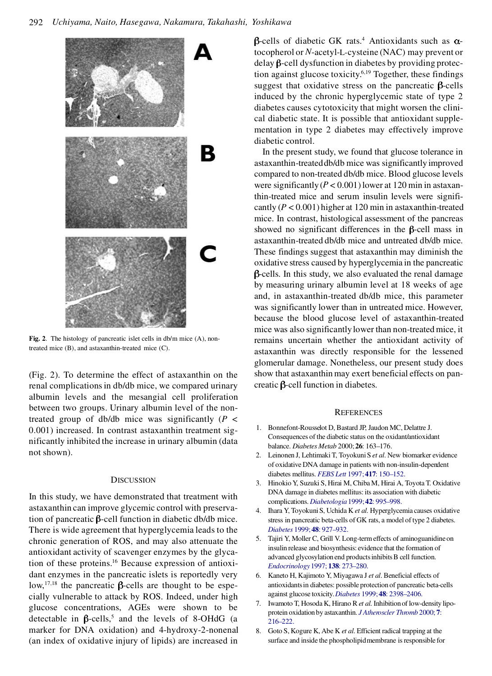

**Fig. 2**. The histology of pancreatic islet cells in db/m mice (A), nontreated mice (B), and astaxanthin-treated mice (C).

(Fig. 2). To determine the effect of astaxanthin on the renal complications in db/db mice, we compared urinary albumin levels and the mesangial cell proliferation between two groups. Urinary albumin level of the nontreated group of db/db mice was significantly (*P* < 0.001) increased. In contrast astaxanthin treatment significantly inhibited the increase in urinary albumin (data not shown).

## **DISCUSSION**

In this study, we have demonstrated that treatment with astaxanthin can improve glycemic control with preservation of pancreatic  $\beta$ -cell function in diabetic db/db mice. There is wide agreement that hyperglycemia leads to the chronic generation of ROS, and may also attenuate the antioxidant activity of scavenger enzymes by the glycation of these proteins.<sup>16</sup> Because expression of antioxidant enzymes in the pancreatic islets is reportedly very low,<sup>17,18</sup> the pancreatic  $\beta$ -cells are thought to be especially vulnerable to attack by ROS. Indeed, under high glucose concentrations, AGEs were shown to be detectable in  $\beta$ -cells,<sup>5</sup> and the levels of 8-OHdG (a marker for DNA oxidation) and 4-hydroxy-2-nonenal (an index of oxidative injury of lipids) are increased in

 $\beta$ -cells of diabetic GK rats.<sup>4</sup> Antioxidants such as  $\alpha$ tocopherol or *N*-acetyl-L-cysteine (NAC) may prevent or delay  $\beta$ -cell dysfunction in diabetes by providing protection against glucose toxicity.6,19 Together, these findings suggest that oxidative stress on the pancreatic  $\beta$ -cells induced by the chronic hyperglycemic state of type 2 diabetes causes cytotoxicity that might worsen the clinical diabetic state. It is possible that antioxidant supplementation in type 2 diabetes may effectively improve diabetic control.

In the present study, we found that glucose tolerance in astaxanthin-treated db/db mice was significantly improved compared to non-treated db/db mice. Blood glucose levels were significantly  $(P < 0.001)$  lower at 120 min in astaxanthin-treated mice and serum insulin levels were significantly  $(P < 0.001)$  higher at 120 min in astaxanthin-treated mice. In contrast, histological assessment of the pancreas showed no significant differences in the  $\beta$ -cell mass in astaxanthin-treated db/db mice and untreated db/db mice. These findings suggest that astaxanthin may diminish the oxidative stress caused by hyperglycemia in the pancreatic  $\beta$ -cells. In this study, we also evaluated the renal damage by measuring urinary albumin level at 18 weeks of age and, in astaxanthin-treated db/db mice, this parameter was significantly lower than in untreated mice. However, because the blood glucose level of astaxanthin-treated mice was also significantly lower than non-treated mice, it remains uncertain whether the antioxidant activity of astaxanthin was directly responsible for the lessened glomerular damage. Nonetheless, our present study does show that astaxanthin may exert beneficial effects on pancreatic  $\beta$ -cell function in diabetes.

#### **REFERENCES**

- 1. Bonnefont-Rousselot D, Bastard JP, Jaudon MC, Delattre J. Consequences of the diabetic status on the oxidant/antioxidant balance. *Diabetes Metab* 2000; **26**: 163–176.
- 2. Leinonen J, Lehtimaki T, Toyokuni S *et al*. New biomarker evidence of oxidative DNA damage in patients with non-insulin-dependent diabetes mellitus. *FEBS Lett* 1997; **417**[: 150–152.](http://www.ingentaconnect.com/content/external-references?article=/0014-5793^281997^29417L.150[aid=2664498])
- 3. Hinokio Y, Suzuki S, Hirai M, Chiba M, Hirai A, Toyota T. Oxidative DNA damage in diabetes mellitus: its association with diabetic complications. *[Diabetologia](http://www.ingentaconnect.com/content/external-references?article=/0012-186X^281999^2942L.995[aid=2516807])*1999; **42**: 995–998.
- 4. Ihara Y, Toyokuni S, Uchida K *et al*. Hyperglycemia causes oxidative stress in pancreatic beta-cells of GK rats, a model of type 2 diabetes. *Diabetes* 1999; **48**[: 927–932.](http://www.ingentaconnect.com/content/external-references?article=/0012-1797^281999^2948L.927[aid=2651062])
- 5. Tajiri Y, Moller C, Grill V. Long-term effects of aminoguanidine on insulin release and biosynthesis: evidence that the formation of advanced glycosylation end products inhibits B cell function. *[Endocrinology](http://www.ingentaconnect.com/content/external-references?article=/0013-7227^281997^29138L.273[aid=4187413])*1997; **138**: 273–280.
- 6. Kaneto H, Kajimoto Y, Miyagawa J *et al*. Beneficial effects of antioxidants in diabetes: possible protection of pancreatic beta-cells against glucose toxicity. *Diabetes* 1999; **48**[: 2398–2406.](http://www.ingentaconnect.com/content/external-references?article=/0012-1797^281999^2948L.2398[aid=191290])
- 7. Iwamoto T, Hosoda K, Hirano R *et al*. Inhibition of low-density lipoprotein oxidation by astaxanthin. *[J Atheroscler Thromb](http://www.ingentaconnect.com/content/external-references?article=/1340-3478^282000^297L.216[aid=2017798])* 2000; **7**: [216–222.](http://www.ingentaconnect.com/content/external-references?article=/1340-3478^282000^297L.216[aid=2017798])
- 8. Goto S, Kogure K, Abe K *et al*. Efficient radical trapping at the surface and inside the phospholipid membrane is responsible for